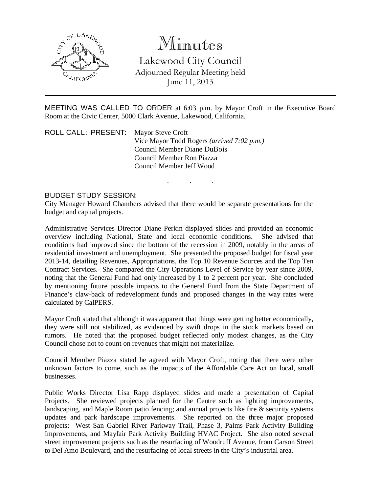

# Minutes

Lakewood City Council Adjourned Regular Meeting held June 11, 2013

MEETING WAS CALLED TO ORDER at 6:03 p.m. by Mayor Croft in the Executive Board Room at the Civic Center, 5000 Clark Avenue, Lakewood, California.

. . .

ROLL CALL: PRESENT: Mayor Steve Croft Vice Mayor Todd Rogers *(arrived 7:02 p.m.)* Council Member Diane DuBois Council Member Ron Piazza Council Member Jeff Wood

#### BUDGET STUDY SESSION:

City Manager Howard Chambers advised that there would be separate presentations for the budget and capital projects.

Administrative Services Director Diane Perkin displayed slides and provided an economic overview including National, State and local economic conditions. She advised that conditions had improved since the bottom of the recession in 2009, notably in the areas of residential investment and unemployment. She presented the proposed budget for fiscal year 2013-14, detailing Revenues, Appropriations, the Top 10 Revenue Sources and the Top Ten Contract Services. She compared the City Operations Level of Service by year since 2009, noting that the General Fund had only increased by 1 to 2 percent per year. She concluded by mentioning future possible impacts to the General Fund from the State Department of Finance's claw-back of redevelopment funds and proposed changes in the way rates were calculated by CalPERS.

Mayor Croft stated that although it was apparent that things were getting better economically, they were still not stabilized, as evidenced by swift drops in the stock markets based on rumors. He noted that the proposed budget reflected only modest changes, as the City Council chose not to count on revenues that might not materialize.

Council Member Piazza stated he agreed with Mayor Croft, noting that there were other unknown factors to come, such as the impacts of the Affordable Care Act on local, small businesses.

Public Works Director Lisa Rapp displayed slides and made a presentation of Capital Projects. She reviewed projects planned for the Centre such as lighting improvements, landscaping, and Maple Room patio fencing; and annual projects like fire & security systems updates and park hardscape improvements. She reported on the three major proposed projects: West San Gabriel River Parkway Trail, Phase 3, Palms Park Activity Building Improvements, and Mayfair Park Activity Building HVAC Project. She also noted several street improvement projects such as the resurfacing of Woodruff Avenue, from Carson Street to Del Amo Boulevard, and the resurfacing of local streets in the City's industrial area.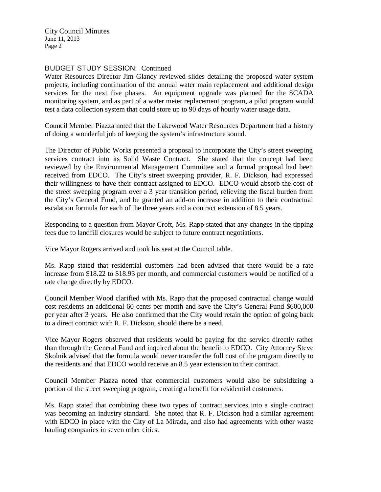City Council Minutes June 11, 2013 Page 2

## BUDGET STUDY SESSION: Continued

Water Resources Director Jim Glancy reviewed slides detailing the proposed water system projects, including continuation of the annual water main replacement and additional design services for the next five phases. An equipment upgrade was planned for the SCADA monitoring system, and as part of a water meter replacement program, a pilot program would test a data collection system that could store up to 90 days of hourly water usage data.

Council Member Piazza noted that the Lakewood Water Resources Department had a history of doing a wonderful job of keeping the system's infrastructure sound.

The Director of Public Works presented a proposal to incorporate the City's street sweeping services contract into its Solid Waste Contract. She stated that the concept had been reviewed by the Environmental Management Committee and a formal proposal had been received from EDCO. The City's street sweeping provider, R. F. Dickson, had expressed their willingness to have their contract assigned to EDCO. EDCO would absorb the cost of the street sweeping program over a 3 year transition period, relieving the fiscal burden from the City's General Fund, and be granted an add-on increase in addition to their contractual escalation formula for each of the three years and a contract extension of 8.5 years.

Responding to a question from Mayor Croft, Ms. Rapp stated that any changes in the tipping fees due to landfill closures would be subject to future contract negotiations.

Vice Mayor Rogers arrived and took his seat at the Council table.

Ms. Rapp stated that residential customers had been advised that there would be a rate increase from \$18.22 to \$18.93 per month, and commercial customers would be notified of a rate change directly by EDCO.

Council Member Wood clarified with Ms. Rapp that the proposed contractual change would cost residents an additional 60 cents per month and save the City's General Fund \$600,000 per year after 3 years. He also confirmed that the City would retain the option of going back to a direct contract with R. F. Dickson, should there be a need.

Vice Mayor Rogers observed that residents would be paying for the service directly rather than through the General Fund and inquired about the benefit to EDCO. City Attorney Steve Skolnik advised that the formula would never transfer the full cost of the program directly to the residents and that EDCO would receive an 8.5 year extension to their contract.

Council Member Piazza noted that commercial customers would also be subsidizing a portion of the street sweeping program, creating a benefit for residential customers.

Ms. Rapp stated that combining these two types of contract services into a single contract was becoming an industry standard. She noted that R. F. Dickson had a similar agreement with EDCO in place with the City of La Mirada, and also had agreements with other waste hauling companies in seven other cities.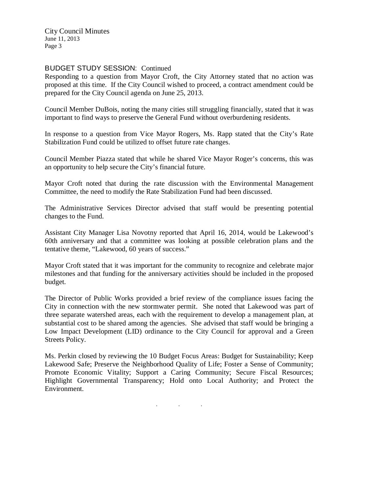City Council Minutes June 11, 2013 Page 3

#### BUDGET STUDY SESSION: Continued

Responding to a question from Mayor Croft, the City Attorney stated that no action was proposed at this time. If the City Council wished to proceed, a contract amendment could be prepared for the City Council agenda on June 25, 2013.

Council Member DuBois, noting the many cities still struggling financially, stated that it was important to find ways to preserve the General Fund without overburdening residents.

In response to a question from Vice Mayor Rogers, Ms. Rapp stated that the City's Rate Stabilization Fund could be utilized to offset future rate changes.

Council Member Piazza stated that while he shared Vice Mayor Roger's concerns, this was an opportunity to help secure the City's financial future.

Mayor Croft noted that during the rate discussion with the Environmental Management Committee, the need to modify the Rate Stabilization Fund had been discussed.

The Administrative Services Director advised that staff would be presenting potential changes to the Fund.

Assistant City Manager Lisa Novotny reported that April 16, 2014, would be Lakewood's 60th anniversary and that a committee was looking at possible celebration plans and the tentative theme, "Lakewood, 60 years of success."

Mayor Croft stated that it was important for the community to recognize and celebrate major milestones and that funding for the anniversary activities should be included in the proposed budget.

The Director of Public Works provided a brief review of the compliance issues facing the City in connection with the new stormwater permit. She noted that Lakewood was part of three separate watershed areas, each with the requirement to develop a management plan, at substantial cost to be shared among the agencies. She advised that staff would be bringing a Low Impact Development (LID) ordinance to the City Council for approval and a Green Streets Policy.

Ms. Perkin closed by reviewing the 10 Budget Focus Areas: Budget for Sustainability; Keep Lakewood Safe; Preserve the Neighborhood Quality of Life; Foster a Sense of Community; Promote Economic Vitality; Support a Caring Community; Secure Fiscal Resources; Highlight Governmental Transparency; Hold onto Local Authority; and Protect the Environment.

. . .